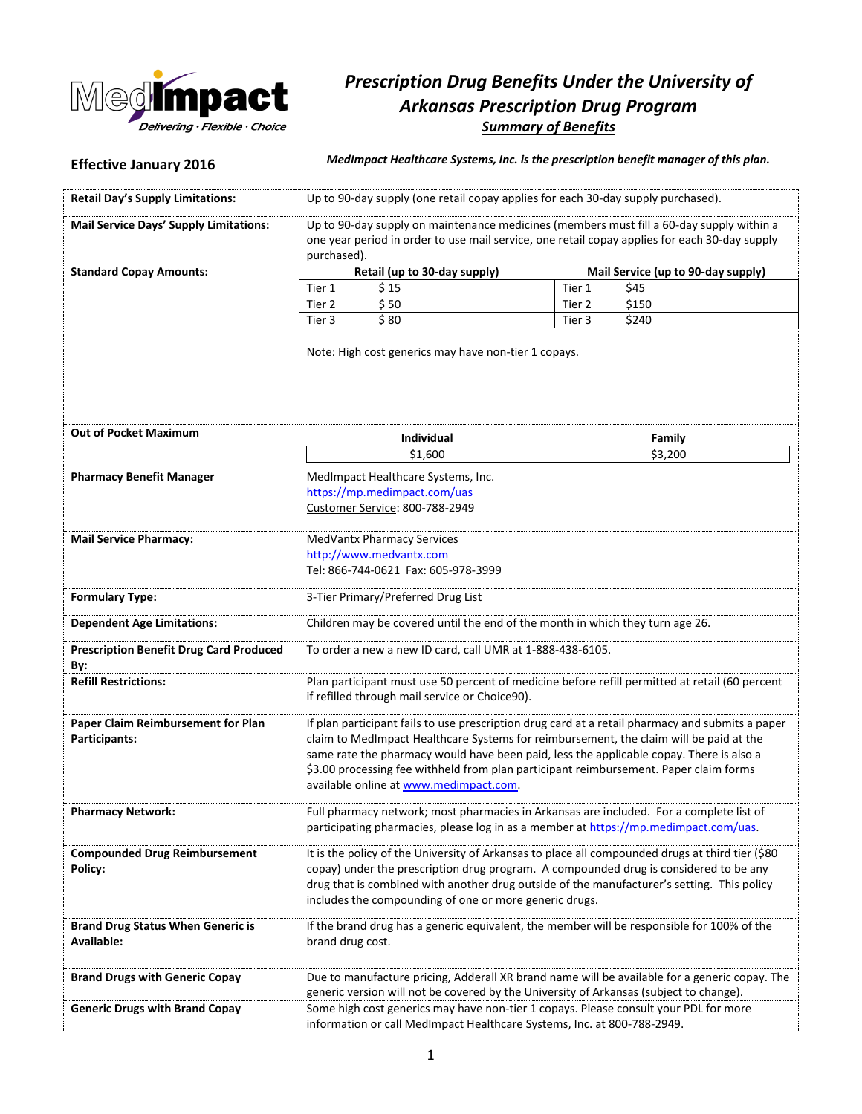

# *Prescription Drug Benefits Under the University of Arkansas Prescription Drug Program Summary of Benefits*

**Effective January 2016** *MedImpact Healthcare Systems, Inc. is the prescription benefit manager of this plan.*

| <b>Retail Day's Supply Limitations:</b>                | Up to 90-day supply (one retail copay applies for each 30-day supply purchased).                                                                                                                                                                                                                                                                                                                                         |                                                                                               |
|--------------------------------------------------------|--------------------------------------------------------------------------------------------------------------------------------------------------------------------------------------------------------------------------------------------------------------------------------------------------------------------------------------------------------------------------------------------------------------------------|-----------------------------------------------------------------------------------------------|
| <b>Mail Service Days' Supply Limitations:</b>          | Up to 90-day supply on maintenance medicines (members must fill a 60-day supply within a<br>one year period in order to use mail service, one retail copay applies for each 30-day supply<br>purchased).                                                                                                                                                                                                                 |                                                                                               |
| <b>Standard Copay Amounts:</b>                         | Retail (up to 30-day supply)                                                                                                                                                                                                                                                                                                                                                                                             | Mail Service (up to 90-day supply)                                                            |
|                                                        | Tier 1<br>\$15                                                                                                                                                                                                                                                                                                                                                                                                           | Tier 1<br>\$45                                                                                |
|                                                        | \$50<br>Tier 2                                                                                                                                                                                                                                                                                                                                                                                                           | \$150<br>Tier 2                                                                               |
|                                                        | \$80<br>Tier 3                                                                                                                                                                                                                                                                                                                                                                                                           | \$240<br>Tier 3                                                                               |
|                                                        | Note: High cost generics may have non-tier 1 copays.                                                                                                                                                                                                                                                                                                                                                                     |                                                                                               |
| <b>Out of Pocket Maximum</b>                           | Individual                                                                                                                                                                                                                                                                                                                                                                                                               | Family                                                                                        |
|                                                        | \$1,600                                                                                                                                                                                                                                                                                                                                                                                                                  | \$3,200                                                                                       |
|                                                        |                                                                                                                                                                                                                                                                                                                                                                                                                          |                                                                                               |
| <b>Pharmacy Benefit Manager</b>                        | MedImpact Healthcare Systems, Inc.<br>https://mp.medimpact.com/uas<br>Customer Service: 800-788-2949                                                                                                                                                                                                                                                                                                                     |                                                                                               |
| <b>Mail Service Pharmacy:</b>                          | <b>MedVantx Pharmacy Services</b>                                                                                                                                                                                                                                                                                                                                                                                        |                                                                                               |
|                                                        | http://www.medvantx.com                                                                                                                                                                                                                                                                                                                                                                                                  |                                                                                               |
|                                                        | Tel: 866-744-0621 Fax: 605-978-3999                                                                                                                                                                                                                                                                                                                                                                                      |                                                                                               |
| <b>Formulary Type:</b>                                 | 3-Tier Primary/Preferred Drug List                                                                                                                                                                                                                                                                                                                                                                                       |                                                                                               |
| <b>Dependent Age Limitations:</b>                      | Children may be covered until the end of the month in which they turn age 26.                                                                                                                                                                                                                                                                                                                                            |                                                                                               |
| <b>Prescription Benefit Drug Card Produced</b><br>By:  | To order a new a new ID card, call UMR at 1-888-438-6105.                                                                                                                                                                                                                                                                                                                                                                |                                                                                               |
| <b>Refill Restrictions:</b>                            | Plan participant must use 50 percent of medicine before refill permitted at retail (60 percent<br>if refilled through mail service or Choice90).                                                                                                                                                                                                                                                                         |                                                                                               |
| Paper Claim Reimbursement for Plan<br>Participants:    | If plan participant fails to use prescription drug card at a retail pharmacy and submits a paper<br>claim to MedImpact Healthcare Systems for reimbursement, the claim will be paid at the<br>same rate the pharmacy would have been paid, less the applicable copay. There is also a<br>\$3.00 processing fee withheld from plan participant reimbursement. Paper claim forms<br>available online at www.medimpact.com. |                                                                                               |
| <b>Pharmacy Network:</b>                               | Full pharmacy network; most pharmacies in Arkansas are included. For a complete list of<br>participating pharmacies, please log in as a member at https://mp.medimpact.com/uas.                                                                                                                                                                                                                                          |                                                                                               |
| <b>Compounded Drug Reimbursement</b><br>Policy:        | It is the policy of the University of Arkansas to place all compounded drugs at third tier (\$80<br>copay) under the prescription drug program. A compounded drug is considered to be any<br>drug that is combined with another drug outside of the manufacturer's setting. This policy<br>includes the compounding of one or more generic drugs.                                                                        |                                                                                               |
| <b>Brand Drug Status When Generic is</b><br>Available: | If the brand drug has a generic equivalent, the member will be responsible for 100% of the<br>brand drug cost.                                                                                                                                                                                                                                                                                                           |                                                                                               |
| <b>Brand Drugs with Generic Copay</b>                  | generic version will not be covered by the University of Arkansas (subject to change).                                                                                                                                                                                                                                                                                                                                   | Due to manufacture pricing, Adderall XR brand name will be available for a generic copay. The |
| <b>Generic Drugs with Brand Copay</b>                  | Some high cost generics may have non-tier 1 copays. Please consult your PDL for more<br>information or call MedImpact Healthcare Systems, Inc. at 800-788-2949.                                                                                                                                                                                                                                                          |                                                                                               |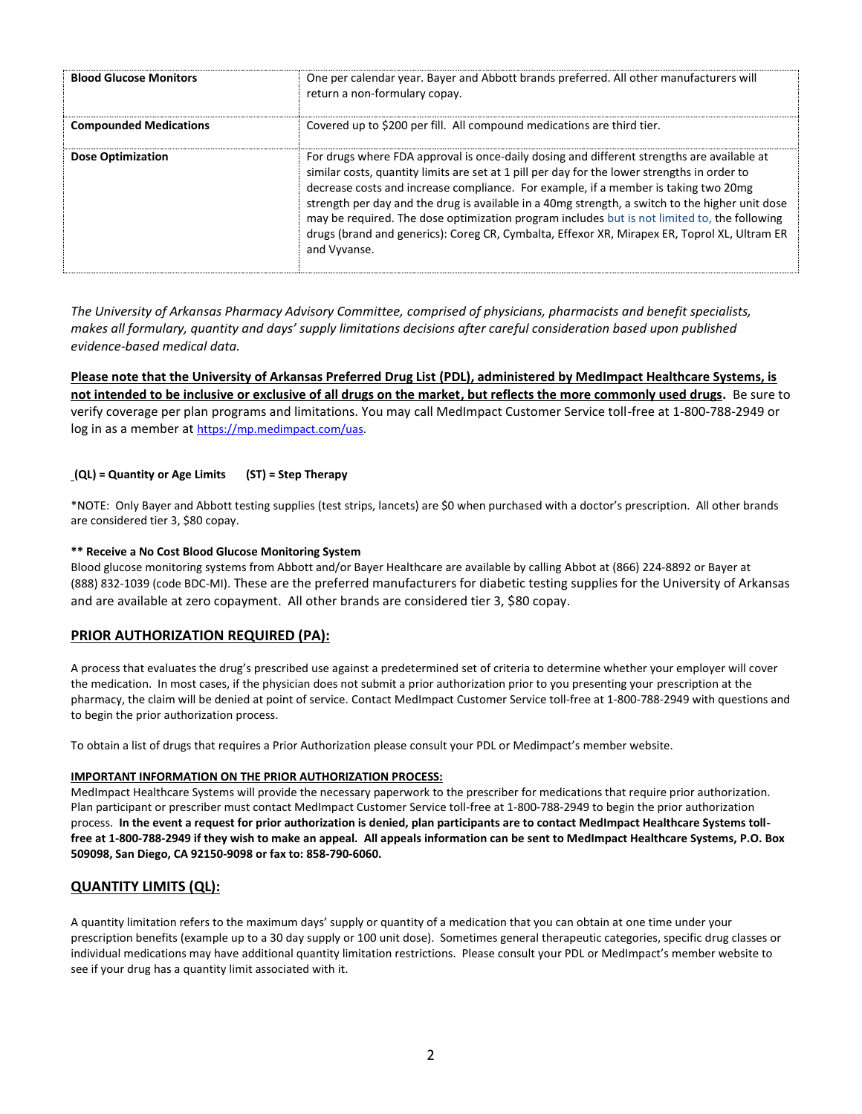| <b>Blood Glucose Monitors</b> | One per calendar year. Bayer and Abbott brands preferred. All other manufacturers will<br>return a non-formulary copay.                                                                                                                                                                                                                                                                                                                                                                                                                                                                              |
|-------------------------------|------------------------------------------------------------------------------------------------------------------------------------------------------------------------------------------------------------------------------------------------------------------------------------------------------------------------------------------------------------------------------------------------------------------------------------------------------------------------------------------------------------------------------------------------------------------------------------------------------|
| <b>Compounded Medications</b> | Covered up to \$200 per fill. All compound medications are third tier.                                                                                                                                                                                                                                                                                                                                                                                                                                                                                                                               |
| <b>Dose Optimization</b>      | For drugs where FDA approval is once-daily dosing and different strengths are available at<br>similar costs, quantity limits are set at 1 pill per day for the lower strengths in order to<br>decrease costs and increase compliance. For example, if a member is taking two 20mg<br>strength per day and the drug is available in a 40mg strength, a switch to the higher unit dose<br>may be required. The dose optimization program includes but is not limited to, the following<br>drugs (brand and generics): Coreg CR, Cymbalta, Effexor XR, Mirapex ER, Toprol XL, Ultram ER<br>and Vyvanse. |

*The University of Arkansas Pharmacy Advisory Committee, comprised of physicians, pharmacists and benefit specialists, makes all formulary, quantity and days' supply limitations decisions after careful consideration based upon published evidence-based medical data.*

**Please note that the University of Arkansas Preferred Drug List (PDL), administered by MedImpact Healthcare Systems, is not intended to be inclusive or exclusive of all drugs on the market, but reflects the more commonly used drugs.** Be sure to verify coverage per plan programs and limitations. You may call MedImpact Customer Service toll-free at 1-800-788-2949 or log in as a member at [https://mp.medimpact.com/uas.](https://mp.medimpact.com/uas)

### **(QL) = Quantity or Age Limits (ST) = Step Therapy**

\*NOTE: Only Bayer and Abbott testing supplies (test strips, lancets) are \$0 when purchased with a doctor's prescription. All other brands are considered tier 3, \$80 copay.

#### **\*\* Receive a No Cost Blood Glucose Monitoring System**

Blood glucose monitoring systems from Abbott and/or Bayer Healthcare are available by calling Abbot at (866) 224-8892 or Bayer at (888) 832-1039 (code BDC-MI). These are the preferred manufacturers for diabetic testing supplies for the University of Arkansas and are available at zero copayment. All other brands are considered tier 3, \$80 copay.

# **PRIOR AUTHORIZATION REQUIRED (PA):**

A process that evaluates the drug's prescribed use against a predetermined set of criteria to determine whether your employer will cover the medication. In most cases, if the physician does not submit a prior authorization prior to you presenting your prescription at the pharmacy, the claim will be denied at point of service. Contact MedImpact Customer Service toll-free at 1-800-788-2949 with questions and to begin the prior authorization process.

To obtain a list of drugs that requires a Prior Authorization please consult your PDL or Medimpact's member website.

#### **IMPORTANT INFORMATION ON THE PRIOR AUTHORIZATION PROCESS:**

MedImpact Healthcare Systems will provide the necessary paperwork to the prescriber for medications that require prior authorization. Plan participant or prescriber must contact MedImpact Customer Service toll-free at 1-800-788-2949 to begin the prior authorization process. **In the event a request for prior authorization is denied, plan participants are to contact MedImpact Healthcare Systems tollfree at 1-800-788-2949 if they wish to make an appeal. All appeals information can be sent to MedImpact Healthcare Systems, P.O. Box 509098, San Diego, CA 92150-9098 or fax to: 858-790-6060.**

# **QUANTITY LIMITS (QL):**

A quantity limitation refers to the maximum days' supply or quantity of a medication that you can obtain at one time under your prescription benefits (example up to a 30 day supply or 100 unit dose). Sometimes general therapeutic categories, specific drug classes or individual medications may have additional quantity limitation restrictions. Please consult your PDL or MedImpact's member website to see if your drug has a quantity limit associated with it.